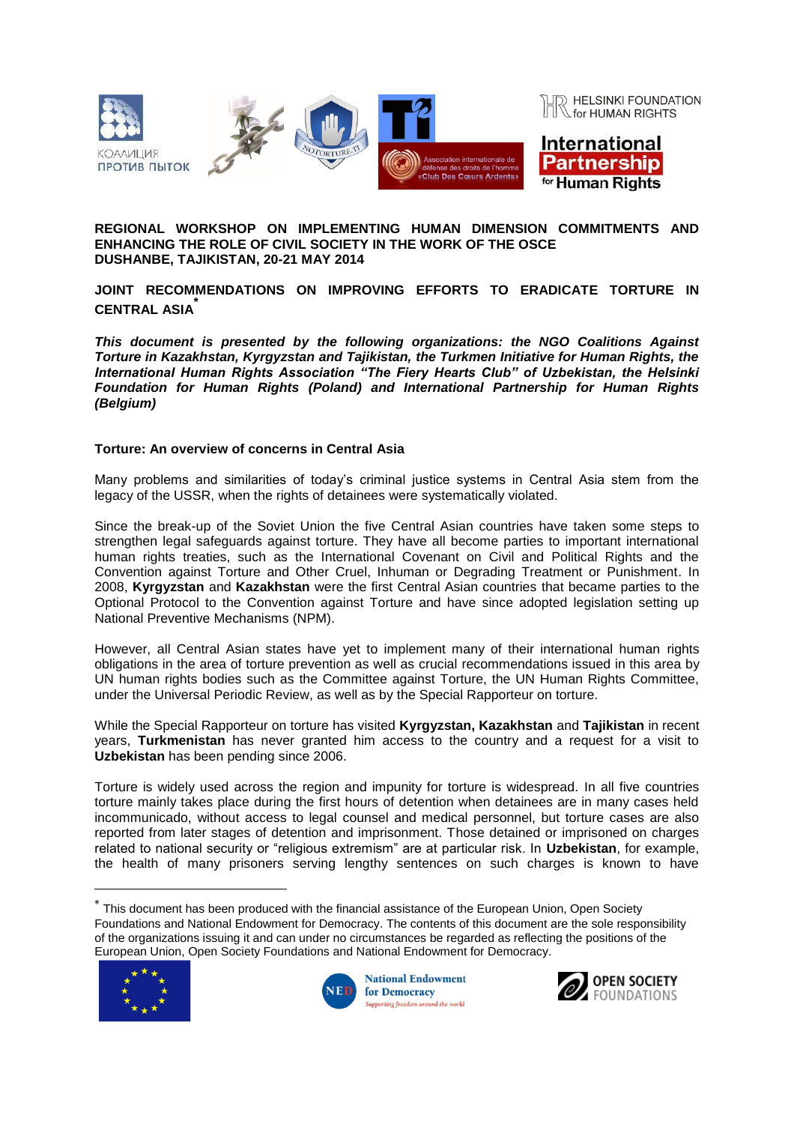

### **REGIONAL WORKSHOP ON IMPLEMENTING HUMAN DIMENSION COMMITMENTS AND ENHANCING THE ROLE OF CIVIL SOCIETY IN THE WORK OF THE OSCE DUSHANBE, TAJIKISTAN, 20-21 MAY 2014**

# **JOINT RECOMMENDATIONS ON IMPROVING EFFORTS TO ERADICATE TORTURE IN CENTRAL ASIA\***

*This document is presented by the following organizations: the NGO Coalitions Against Torture in Kazakhstan, Kyrgyzstan and Tajikistan, the Turkmen Initiative for Human Rights, the International Human Rights Association "The Fiery Hearts Club" of Uzbekistan, the Helsinki Foundation for Human Rights (Poland) and International Partnership for Human Rights (Belgium)*

# **Torture: An overview of concerns in Central Asia**

Many problems and similarities of today's criminal justice systems in Central Asia stem from the legacy of the USSR, when the rights of detainees were systematically violated.

Since the break-up of the Soviet Union the five Central Asian countries have taken some steps to strengthen legal safeguards against torture. They have all become parties to important international human rights treaties, such as the International Covenant on Civil and Political Rights and the Convention against Torture and Other Cruel, Inhuman or Degrading Treatment or Punishment. In 2008, **Kyrgyzstan** and **Kazakhstan** were the first Central Asian countries that became parties to the Optional Protocol to the Convention against Torture and have since adopted legislation setting up National Preventive Mechanisms (NPM).

However, all Central Asian states have yet to implement many of their international human rights obligations in the area of torture prevention as well as crucial recommendations issued in this area by UN human rights bodies such as the Committee against Torture, the UN Human Rights Committee, under the Universal Periodic Review, as well as by the Special Rapporteur on torture.

While the Special Rapporteur on torture has visited **Kyrgyzstan, Kazakhstan** and **Tajikistan** in recent years, **Turkmenistan** has never granted him access to the country and a request for a visit to **Uzbekistan** has been pending since 2006.

Torture is widely used across the region and impunity for torture is widespread. In all five countries torture mainly takes place during the first hours of detention when detainees are in many cases held incommunicado, without access to legal counsel and medical personnel, but torture cases are also reported from later stages of detention and imprisonment. Those detained or imprisoned on charges related to national security or "religious extremism" are at particular risk. In **Uzbekistan**, for example, the health of many prisoners serving lengthy sentences on such charges is known to have

 $^*$  This document has been produced with the financial assistance of the European Union, Open Society Foundations and National Endowment for Democracy. The contents of this document are the sole responsibility of the organizations issuing it and can under no circumstances be regarded as reflecting the positions of the European Union, Open Society Foundations and National Endowment for Democracy*.*



 $\overline{a}$ 



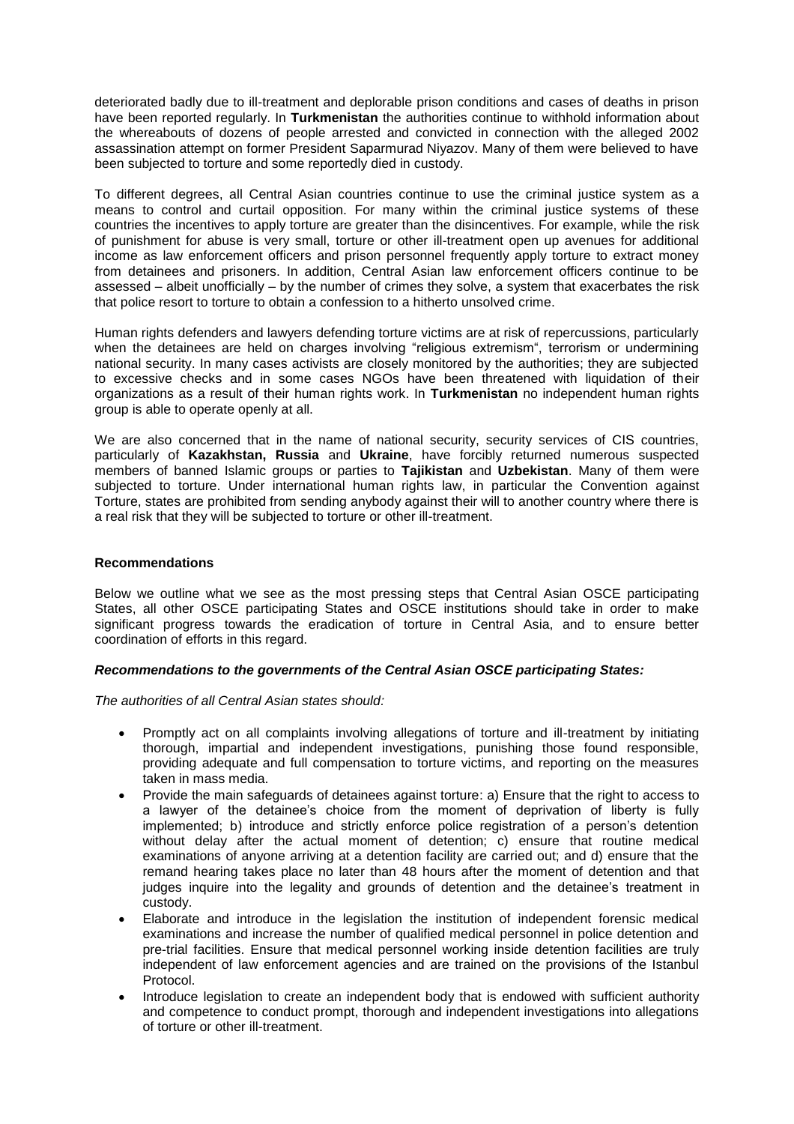deteriorated badly due to ill-treatment and deplorable prison conditions and cases of deaths in prison have been reported regularly. In **Turkmenistan** the authorities continue to withhold information about the whereabouts of dozens of people arrested and convicted in connection with the alleged 2002 assassination attempt on former President Saparmurad Niyazov. Many of them were believed to have been subjected to torture and some reportedly died in custody.

To different degrees, all Central Asian countries continue to use the criminal justice system as a means to control and curtail opposition. For many within the criminal justice systems of these countries the incentives to apply torture are greater than the disincentives. For example, while the risk of punishment for abuse is very small, torture or other ill-treatment open up avenues for additional income as law enforcement officers and prison personnel frequently apply torture to extract money from detainees and prisoners. In addition, Central Asian law enforcement officers continue to be assessed – albeit unofficially – by the number of crimes they solve, a system that exacerbates the risk that police resort to torture to obtain a confession to a hitherto unsolved crime.

Human rights defenders and lawyers defending torture victims are at risk of repercussions, particularly when the detainees are held on charges involving "religious extremism", terrorism or undermining national security. In many cases activists are closely monitored by the authorities; they are subjected to excessive checks and in some cases NGOs have been threatened with liquidation of their organizations as a result of their human rights work. In **Turkmenistan** no independent human rights group is able to operate openly at all.

We are also concerned that in the name of national security, security services of CIS countries, particularly of **Kazakhstan, Russia** and **Ukraine**, have forcibly returned numerous suspected members of banned Islamic groups or parties to **Tajikistan** and **Uzbekistan**. Many of them were subjected to torture. Under international human rights law, in particular the Convention against Torture, states are prohibited from sending anybody against their will to another country where there is a real risk that they will be subjected to torture or other ill-treatment.

### **Recommendations**

Below we outline what we see as the most pressing steps that Central Asian OSCE participating States, all other OSCE participating States and OSCE institutions should take in order to make significant progress towards the eradication of torture in Central Asia, and to ensure better coordination of efforts in this regard.

#### *Recommendations to the governments of the Central Asian OSCE participating States:*

*The authorities of all Central Asian states should:* 

- Promptly act on all complaints involving allegations of torture and ill-treatment by initiating thorough, impartial and independent investigations, punishing those found responsible, providing adequate and full compensation to torture victims, and reporting on the measures taken in mass media.
- Provide the main safeguards of detainees against torture: a) Ensure that the right to access to a lawyer of the detainee's choice from the moment of deprivation of liberty is fully implemented; b) introduce and strictly enforce police registration of a person's detention without delay after the actual moment of detention; c) ensure that routine medical examinations of anyone arriving at a detention facility are carried out; and d) ensure that the remand hearing takes place no later than 48 hours after the moment of detention and that judges inquire into the legality and grounds of detention and the detainee's treatment in custody.
- Elaborate and introduce in the legislation the institution of independent forensic medical examinations and increase the number of qualified medical personnel in police detention and pre-trial facilities. Ensure that medical personnel working inside detention facilities are truly independent of law enforcement agencies and are trained on the provisions of the Istanbul Protocol.
- Introduce legislation to create an independent body that is endowed with sufficient authority and competence to conduct prompt, thorough and independent investigations into allegations of torture or other ill-treatment.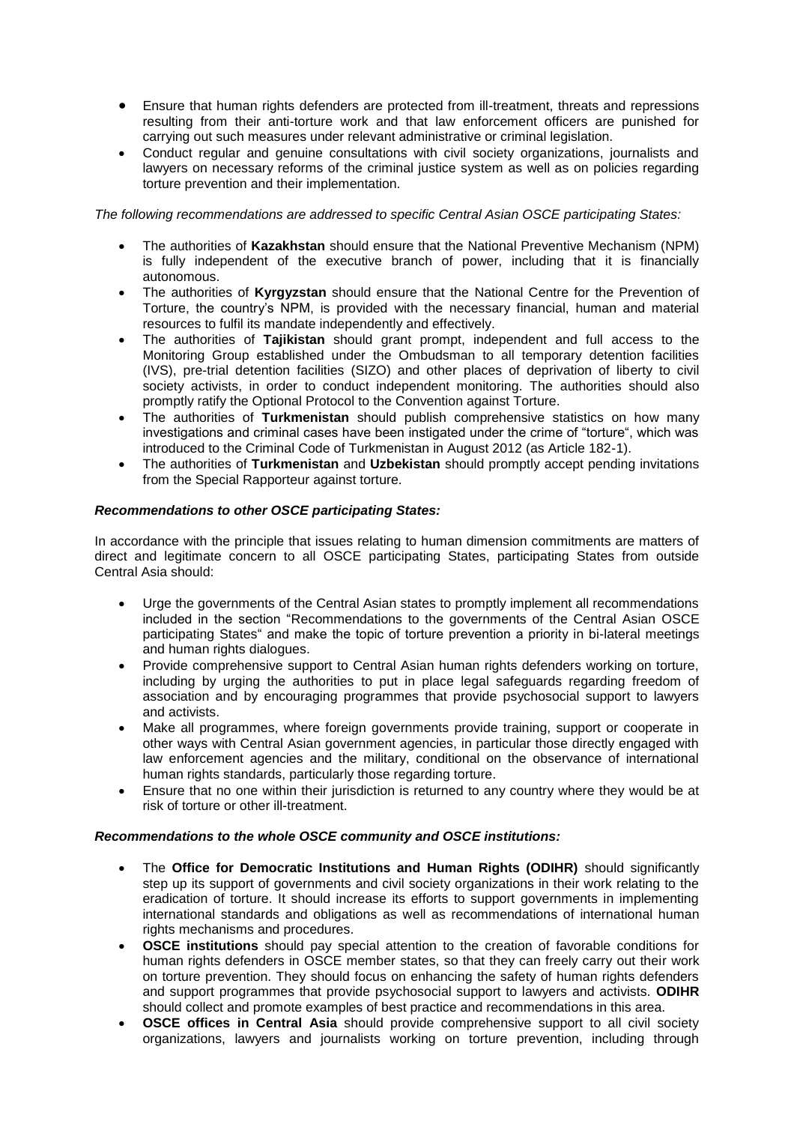- Ensure that human rights defenders are protected from ill-treatment, threats and repressions resulting from their anti-torture work and that law enforcement officers are punished for carrying out such measures under relevant administrative or criminal legislation.
- Conduct regular and genuine consultations with civil society organizations, journalists and lawyers on necessary reforms of the criminal justice system as well as on policies regarding torture prevention and their implementation.

*The following recommendations are addressed to specific Central Asian OSCE participating States:*

- The authorities of **Kazakhstan** should ensure that the National Preventive Mechanism (NPM) is fully independent of the executive branch of power, including that it is financially autonomous.
- The authorities of **Kyrgyzstan** should ensure that the National Centre for the Prevention of Torture, the country's NPM, is provided with the necessary financial, human and material resources to fulfil its mandate independently and effectively.
- The authorities of **Tajikistan** should grant prompt, independent and full access to the Monitoring Group established under the Ombudsman to all temporary detention facilities (IVS), pre-trial detention facilities (SIZO) and other places of deprivation of liberty to civil society activists, in order to conduct independent monitoring. The authorities should also promptly ratify the Optional Protocol to the Convention against Torture.
- The authorities of **Turkmenistan** should publish comprehensive statistics on how many investigations and criminal cases have been instigated under the crime of "torture", which was introduced to the Criminal Code of Turkmenistan in August 2012 (as Article 182-1).
- The authorities of **Turkmenistan** and **Uzbekistan** should promptly accept pending invitations from the Special Rapporteur against torture.

# *Recommendations to other OSCE participating States:*

In accordance with the principle that issues relating to human dimension commitments are matters of direct and legitimate concern to all OSCE participating States, participating States from outside Central Asia should:

- Urge the governments of the Central Asian states to promptly implement all recommendations included in the section "Recommendations to the governments of the Central Asian OSCE participating States" and make the topic of torture prevention a priority in bi-lateral meetings and human rights dialogues.
- Provide comprehensive support to Central Asian human rights defenders working on torture, including by urging the authorities to put in place legal safeguards regarding freedom of association and by encouraging programmes that provide psychosocial support to lawyers and activists.
- Make all programmes, where foreign governments provide training, support or cooperate in other ways with Central Asian government agencies, in particular those directly engaged with law enforcement agencies and the military, conditional on the observance of international human rights standards, particularly those regarding torture.
- Ensure that no one within their jurisdiction is returned to any country where they would be at risk of torture or other ill-treatment.

#### *Recommendations to the whole OSCE community and OSCE institutions:*

- The **Office for Democratic Institutions and Human Rights (ODIHR)** should significantly step up its support of governments and civil society organizations in their work relating to the eradication of torture. It should increase its efforts to support governments in implementing international standards and obligations as well as recommendations of international human rights mechanisms and procedures.
- **OSCE institutions** should pay special attention to the creation of favorable conditions for human rights defenders in OSCE member states, so that they can freely carry out their work on torture prevention. They should focus on enhancing the safety of human rights defenders and support programmes that provide psychosocial support to lawyers and activists. **ODIHR** should collect and promote examples of best practice and recommendations in this area.
- **OSCE offices in Central Asia** should provide comprehensive support to all civil society organizations, lawyers and journalists working on torture prevention, including through